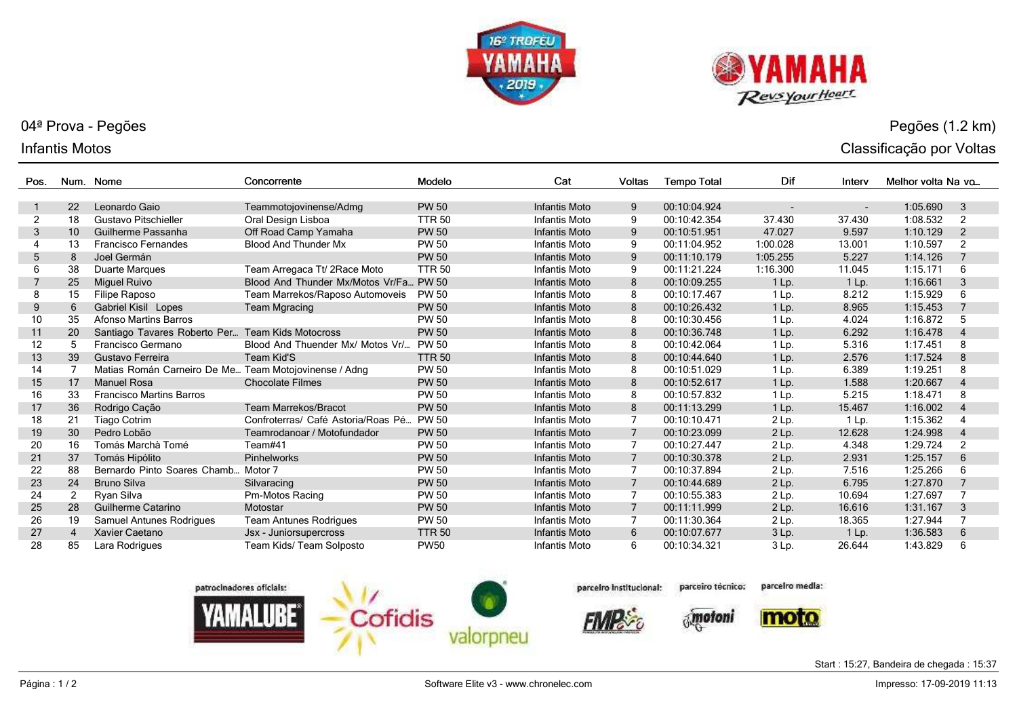



## 04ª Prova - Pegões

## Infantis Motos

| Pos. |                | Num. Nome                                        | Concorrente                        | Modelo        | Cat                  | <b>Voltas</b>  | <b>Tempo Total</b> | Dif      | Interv  | Melhor volta Na vo |                          |
|------|----------------|--------------------------------------------------|------------------------------------|---------------|----------------------|----------------|--------------------|----------|---------|--------------------|--------------------------|
|      |                |                                                  |                                    |               |                      |                |                    |          |         |                    |                          |
|      | 22             | Leonardo Gaio                                    | Teammotojovinense/Admg             | <b>PW 50</b>  | <b>Infantis Moto</b> | 9              | 00:10:04.924       |          |         | 1:05.690           | 3                        |
| 2    | 18             | Gustavo Pitschieller                             | Oral Design Lisboa                 | <b>TTR 50</b> | Infantis Moto        | 9              | 00:10:42.354       | 37.430   | 37.430  | 1:08.532           | 2                        |
| 3    | 10             | Guilherme Passanha                               | Off Road Camp Yamaha               | <b>PW 50</b>  | <b>Infantis Moto</b> | 9              | 00:10:51.951       | 47.027   | 9.597   | 1:10.129           | $\overline{2}$           |
|      | 13             | <b>Francisco Fernandes</b>                       | <b>Blood And Thunder Mx</b>        | <b>PW 50</b>  | Infantis Moto        | 9              | 00:11:04.952       | 1:00.028 | 13.001  | 1:10.597           | 2                        |
| 5    | 8              | Joel Germán                                      |                                    | <b>PW 50</b>  | <b>Infantis Moto</b> | 9              | 00:11:10.179       | 1:05.255 | 5.227   | 1:14.126           | $\overline{7}$           |
|      | 38             | Duarte Margues                                   | Team Arregaca Tt/ 2Race Moto       | <b>TTR 50</b> | Infantis Moto        | 9              | 00:11:21.224       | 1:16.300 | 11.045  | 1:15.171           | 6                        |
|      | 25             | <b>Miguel Ruivo</b>                              | Blood And Thunder Mx/Motos Vr/Fa   | <b>PW 50</b>  | <b>Infantis Moto</b> | 8              | 00:10:09.255       | 1 Lp.    | 1 Lp.   | 1:16.661           | 3                        |
| 8    | 15             | Filipe Raposo                                    | Team Marrekos/Raposo Automoveis    | <b>PW 50</b>  | Infantis Moto        | 8              | 00:10:17.467       | 1 Lp.    | 8.212   | 1:15.929           | 6                        |
| 9    | 6              | Gabriel Kisil Lopes                              | <b>Team Mgracing</b>               | <b>PW 50</b>  | <b>Infantis Moto</b> | 8              | 00:10:26.432       | $1$ Lp.  | 8.965   | 1:15.453           |                          |
| 10   | 35             | <b>Afonso Martins Barros</b>                     |                                    | <b>PW 50</b>  | Infantis Moto        | 8              | 00:10:30.456       | 1 Lp.    | 4.024   | 1:16.872           | 5                        |
| 11   | 20             | Santiago Tavares Roberto Per Team Kids Motocross |                                    | <b>PW 50</b>  | <b>Infantis Moto</b> | 8              | 00:10:36.748       | 1 Lp.    | 6.292   | 1:16.478           | 4                        |
| 12   | 5              | Francisco Germano                                | Blood And Thuender Mx/ Motos Vr/   | <b>PW 50</b>  | Infantis Moto        | 8              | 00:10:42.064       | 1 Lp.    | 5.316   | 1:17.451           | 8                        |
| 13   | 39             | Gustavo Ferreira                                 | Team Kid'S                         | <b>TTR 50</b> | <b>Infantis Moto</b> | 8              | 00:10:44.640       | $1$ Lp.  | 2.576   | 1:17.524           | 8                        |
| 14   | 7              | Matias Román Carneiro De Me                      | Team Motojovinense / Adng          | <b>PW 50</b>  | Infantis Moto        | 8              | 00:10:51.029       | 1 Lp.    | 6.389   | 1:19.251           | 8                        |
| 15   | 17             | <b>Manuel Rosa</b>                               | <b>Chocolate Filmes</b>            | <b>PW 50</b>  | <b>Infantis Moto</b> | 8              | 00:10:52.617       | 1 Lp.    | 1.588   | 1:20.667           | 4                        |
| 16   | 33             | <b>Francisco Martins Barros</b>                  |                                    | <b>PW 50</b>  | <b>Infantis Moto</b> | 8              | 00:10:57.832       | $1$ Lp.  | 5.215   | 1:18.471           | 8                        |
| 17   | 36             | Rodrigo Cação                                    | <b>Team Marrekos/Bracot</b>        | <b>PW 50</b>  | <b>Infantis Moto</b> | 8              | 00:11:13.299       | $1$ Lp.  | 15.467  | 1:16.002           | $\overline{4}$           |
| 18   | 21             | Tiago Cotrim                                     | Confroterras/ Café Astoria/Roas Pé | <b>PW 50</b>  | Infantis Moto        |                | 00:10:10.471       | $2$ Lp.  | $1$ Lp. | 1:15.362           |                          |
| 19   | 30             | Pedro Lobão                                      | Teamrodanoar / Motofundador        | <b>PW 50</b>  | <b>Infantis Moto</b> |                | 00:10:23.099       | $2$ Lp.  | 12.628  | 1:24.998           | $\overline{\mathcal{A}}$ |
| 20   | 16             | Tomás Marchà Tomé                                | Team#41                            | <b>PW 50</b>  | Infantis Moto        |                | 00:10:27.447       | $2$ Lp.  | 4.348   | 1:29.724           | $\overline{2}$           |
| 21   | 37             | Tomás Hipólito                                   | <b>Pinhelworks</b>                 | <b>PW 50</b>  | <b>Infantis Moto</b> |                | 00:10:30.378       | 2 Lp.    | 2.931   | 1:25.157           | 6                        |
| 22   | 88             | Bernardo Pinto Soares Chamb Motor 7              |                                    | <b>PW 50</b>  | Infantis Moto        |                | 00:10:37.894       | $2$ Lp.  | 7.516   | 1:25.266           | 6                        |
| 23   | 24             | <b>Bruno Silva</b>                               | Silvaracing                        | <b>PW 50</b>  | <b>Infantis Moto</b> |                | 00:10:44.689       | 2 Lp.    | 6.795   | 1:27.870           | $\overline{7}$           |
| 24   | 2              | Ryan Silva                                       | Pm-Motos Racing                    | <b>PW 50</b>  | Infantis Moto        |                | 00:10:55.383       | 2 Lp.    | 10.694  | 1:27.697           | 7                        |
| 25   | 28             | Guilherme Catarino                               | Motostar                           | <b>PW 50</b>  | <b>Infantis Moto</b> | $\overline{7}$ | 00:11:11.999       | 2 Lp.    | 16.616  | 1:31.167           | 3                        |
| 26   | 19             | Samuel Antunes Rodrigues                         | <b>Team Antunes Rodrigues</b>      | <b>PW 50</b>  | <b>Infantis Moto</b> |                | 00:11:30.364       | 2 Lp.    | 18.365  | 1:27.944           | 7                        |
| 27   | $\overline{4}$ | Xavier Caetano                                   | Jsx - Juniorsupercross             | <b>TTR 50</b> | <b>Infantis Moto</b> | 6              | 00:10:07.677       | 3 Lp.    | 1 Lp.   | 1:36.583           | 6                        |
| 28   | 85             | Lara Rodrigues                                   | Team Kids/ Team Solposto           | <b>PW50</b>   | Infantis Moto        | 6              | 00:10:34.321       | 3 Lp.    | 26.644  | 1:43.829           | 6                        |



parcelro Institucional:

parcelro media: parceiro técnico:



Start : 15:27, Bandeira de chegada : 15:37

Pegões (1.2 km)

Classificação por Voltas